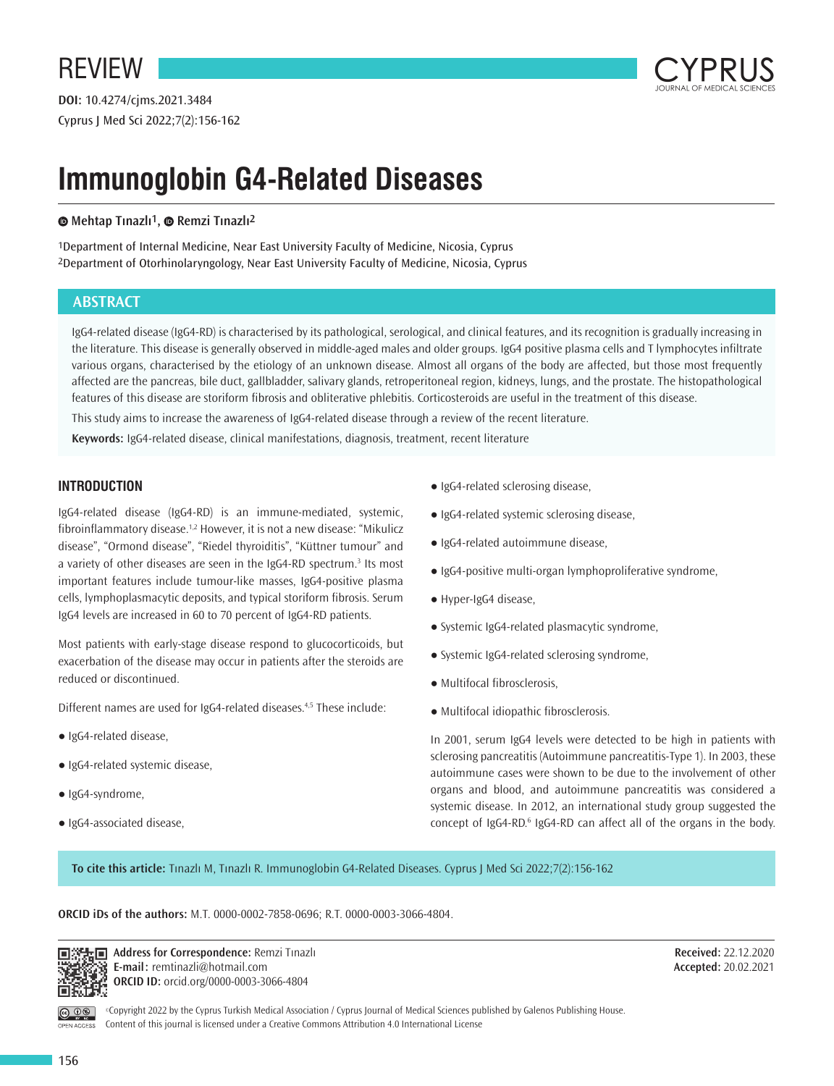



# **Immunoglobin G4-Related Diseases**

# **Mehtap Tınazlı1,Remzi Tınazlı2**

1Department of Internal Medicine, Near East University Faculty of Medicine, Nicosia, Cyprus 2Department of Otorhinolaryngology, Near East University Faculty of Medicine, Nicosia, Cyprus

# **ABSTRACT**

IgG4-related disease (IgG4-RD) is characterised by its pathological, serological, and clinical features, and its recognition is gradually increasing in the literature. This disease is generally observed in middle-aged males and older groups. IgG4 positive plasma cells and T lymphocytes infiltrate various organs, characterised by the etiology of an unknown disease. Almost all organs of the body are affected, but those most frequently affected are the pancreas, bile duct, gallbladder, salivary glands, retroperitoneal region, kidneys, lungs, and the prostate. The histopathological features of this disease are storiform fibrosis and obliterative phlebitis. Corticosteroids are useful in the treatment of this disease.

This study aims to increase the awareness of IgG4-related disease through a review of the recent literature.

**Keywords:** IgG4-related disease, clinical manifestations, diagnosis, treatment, recent literature

# **INTRODUCTION**

IgG4-related disease (IgG4-RD) is an immune-mediated, systemic, fibroinflammatory disease.<sup>1,2</sup> However, it is not a new disease: "Mikulicz disease", "Ormond disease", "Riedel thyroiditis", "Küttner tumour" and a variety of other diseases are seen in the IgG4-RD spectrum.<sup>3</sup> Its most important features include tumour-like masses, IgG4-positive plasma cells, lymphoplasmacytic deposits, and typical storiform fibrosis. Serum IgG4 levels are increased in 60 to 70 percent of IgG4-RD patients.

Most patients with early-stage disease respond to glucocorticoids, but exacerbation of the disease may occur in patients after the steroids are reduced or discontinued.

Different names are used for IgG4-related diseases.4,5 These include:

- IgG4-related disease,
- IgG4-related systemic disease,
- IgG4-syndrome,
- IgG4-associated disease,
- IgG4-related sclerosing disease,
- IgG4-related systemic sclerosing disease,
- IgG4-related autoimmune disease,
- IgG4-positive multi-organ lymphoproliferative syndrome,
- Hyper-IgG4 disease,
- Systemic IgG4-related plasmacytic syndrome,
- Systemic IgG4-related sclerosing syndrome,
- Multifocal fibrosclerosis,
- Multifocal idiopathic fibrosclerosis.

In 2001, serum IgG4 levels were detected to be high in patients with sclerosing pancreatitis (Autoimmune pancreatitis-Type 1). In 2003, these autoimmune cases were shown to be due to the involvement of other organs and blood, and autoimmune pancreatitis was considered a systemic disease. In 2012, an international study group suggested the concept of IgG4-RD.<sup>6</sup> IgG4-RD can affect all of the organs in the body.

**To cite this article:** Tınazlı M, Tınazlı R. Immunoglobin G4-Related Diseases. Cyprus J Med Sci 2022;7(2):156-162

**ORCID iDs of the authors:** M.T. 0000-0002-7858-0696; R.T. 0000-0003-3066-4804.



**Address for Correspondence: Remzi Tinazlı E-mail:** remtinazli@hotmail.com **ORCID ID:** orcid.org/0000-0003-3066-4804

**Received:** 22.12.2020 **Accepted:** 20.02.2021

PEN ACCESS

©Copyright 2022 by the Cyprus Turkish Medical Association / Cyprus Journal of Medical Sciences published by Galenos Publishing House. Content of this journal is licensed under a Creative Commons Attribution 4.0 International License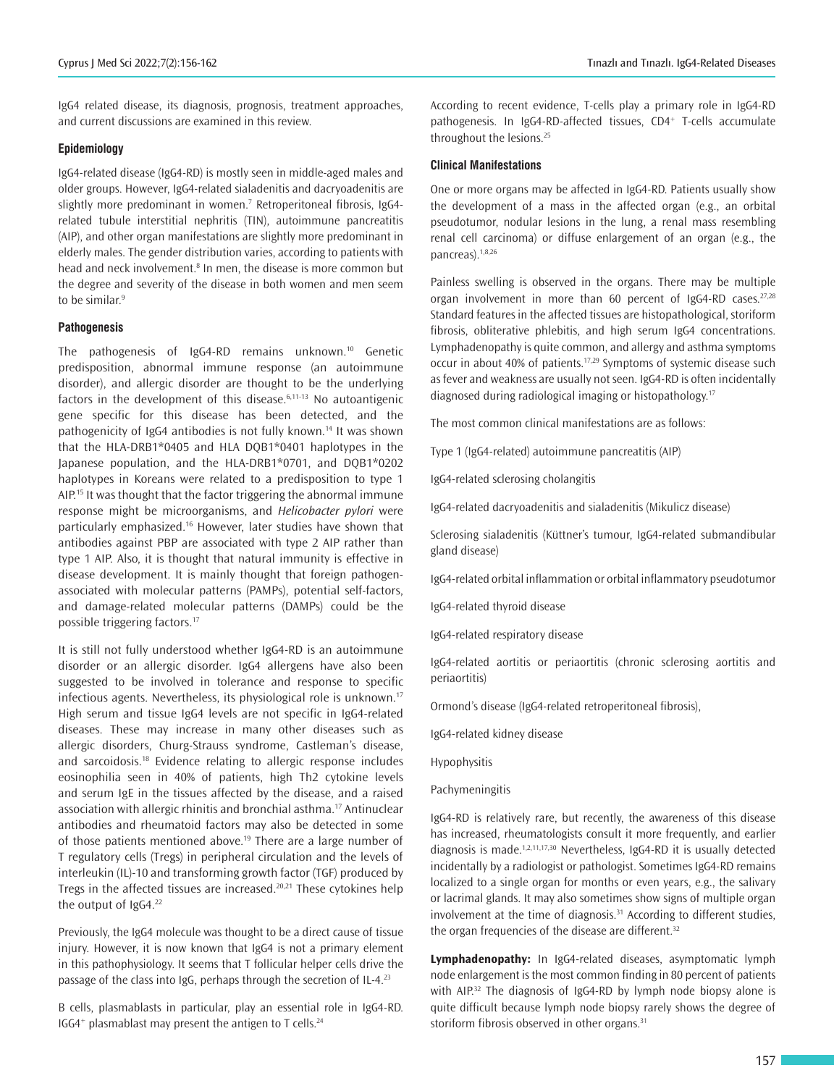IgG4 related disease, its diagnosis, prognosis, treatment approaches, and current discussions are examined in this review.

#### **Epidemiology**

IgG4-related disease (IgG4-RD) is mostly seen in middle-aged males and older groups. However, IgG4-related sialadenitis and dacryoadenitis are slightly more predominant in women.<sup>7</sup> Retroperitoneal fibrosis, IgG4 related tubule interstitial nephritis (TIN), autoimmune pancreatitis (AIP), and other organ manifestations are slightly more predominant in elderly males. The gender distribution varies, according to patients with head and neck involvement.<sup>8</sup> In men, the disease is more common but the degree and severity of the disease in both women and men seem to be similar.<sup>9</sup>

#### **Pathogenesis**

The pathogenesis of IgG4-RD remains unknown.10 Genetic predisposition, abnormal immune response (an autoimmune disorder), and allergic disorder are thought to be the underlying factors in the development of this disease. $6,11-13$  No autoantigenic gene specific for this disease has been detected, and the pathogenicity of IgG4 antibodies is not fully known.<sup>14</sup> It was shown that the HLA-DRB1\*0405 and HLA DQB1\*0401 haplotypes in the Japanese population, and the HLA-DRB1\*0701, and DQB1\*0202 haplotypes in Koreans were related to a predisposition to type 1 AIP.<sup>15</sup> It was thought that the factor triggering the abnormal immune response might be microorganisms, and *Helicobacter pylori* were particularly emphasized.<sup>16</sup> However, later studies have shown that antibodies against PBP are associated with type 2 AIP rather than type 1 AIP. Also, it is thought that natural immunity is effective in disease development. It is mainly thought that foreign pathogenassociated with molecular patterns (PAMPs), potential self-factors, and damage-related molecular patterns (DAMPs) could be the possible triggering factors.<sup>17</sup>

It is still not fully understood whether IgG4-RD is an autoimmune disorder or an allergic disorder. IgG4 allergens have also been suggested to be involved in tolerance and response to specific infectious agents. Nevertheless, its physiological role is unknown.<sup>17</sup> High serum and tissue IgG4 levels are not specific in IgG4-related diseases. These may increase in many other diseases such as allergic disorders, Churg-Strauss syndrome, Castleman's disease, and sarcoidosis.18 Evidence relating to allergic response includes eosinophilia seen in 40% of patients, high Th2 cytokine levels and serum IgE in the tissues affected by the disease, and a raised association with allergic rhinitis and bronchial asthma.<sup>17</sup> Antinuclear antibodies and rheumatoid factors may also be detected in some of those patients mentioned above.<sup>19</sup> There are a large number of T regulatory cells (Tregs) in peripheral circulation and the levels of interleukin (IL)-10 and transforming growth factor (TGF) produced by Tregs in the affected tissues are increased.<sup>20,21</sup> These cytokines help the output of  $IgG4.<sup>22</sup>$ 

Previously, the IgG4 molecule was thought to be a direct cause of tissue injury. However, it is now known that IgG4 is not a primary element in this pathophysiology. It seems that T follicular helper cells drive the passage of the class into IgG, perhaps through the secretion of IL-4.<sup>23</sup>

B cells, plasmablasts in particular, play an essential role in IgG4-RD. IGG4<sup>+</sup> plasmablast may present the antigen to T cells.<sup>24</sup>

According to recent evidence, T-cells play a primary role in IgG4-RD pathogenesis. In IgG4-RD-affected tissues, CD4<sup>+</sup> T-cells accumulate throughout the lesions.<sup>25</sup>

## **Clinical Manifestations**

One or more organs may be affected in IgG4-RD. Patients usually show the development of a mass in the affected organ (e.g., an orbital pseudotumor, nodular lesions in the lung, a renal mass resembling renal cell carcinoma) or diffuse enlargement of an organ (e.g., the pancreas).1,8,26

Painless swelling is observed in the organs. There may be multiple organ involvement in more than 60 percent of IgG4-RD cases. $27,28$ Standard features in the affected tissues are histopathological, storiform fibrosis, obliterative phlebitis, and high serum IgG4 concentrations. Lymphadenopathy is quite common, and allergy and asthma symptoms occur in about 40% of patients.<sup>17,29</sup> Symptoms of systemic disease such as fever and weakness are usually not seen. IgG4-RD is often incidentally diagnosed during radiological imaging or histopathology.<sup>17</sup>

The most common clinical manifestations are as follows:

Type 1 (IgG4-related) autoimmune pancreatitis (AIP)

IgG4-related sclerosing cholangitis

IgG4-related dacryoadenitis and sialadenitis (Mikulicz disease)

Sclerosing sialadenitis (Küttner's tumour, IgG4-related submandibular gland disease)

IgG4-related orbital inflammation or orbital inflammatory pseudotumor

IgG4-related thyroid disease

IgG4-related respiratory disease

IgG4-related aortitis or periaortitis (chronic sclerosing aortitis and periaortitis)

Ormond's disease (IgG4-related retroperitoneal fibrosis),

IgG4-related kidney disease

Hypophysitis

Pachymeningitis

IgG4-RD is relatively rare, but recently, the awareness of this disease has increased, rheumatologists consult it more frequently, and earlier diagnosis is made.1,2,11,17,30 Nevertheless, IgG4-RD it is usually detected incidentally by a radiologist or pathologist. Sometimes IgG4-RD remains localized to a single organ for months or even years, e.g., the salivary or lacrimal glands. It may also sometimes show signs of multiple organ involvement at the time of diagnosis.<sup>31</sup> According to different studies, the organ frequencies of the disease are different. $32$ 

**Lymphadenopathy:** In IgG4-related diseases, asymptomatic lymph node enlargement is the most common finding in 80 percent of patients with AIP.<sup>32</sup> The diagnosis of IgG4-RD by lymph node biopsy alone is quite difficult because lymph node biopsy rarely shows the degree of storiform fibrosis observed in other organs.<sup>31</sup>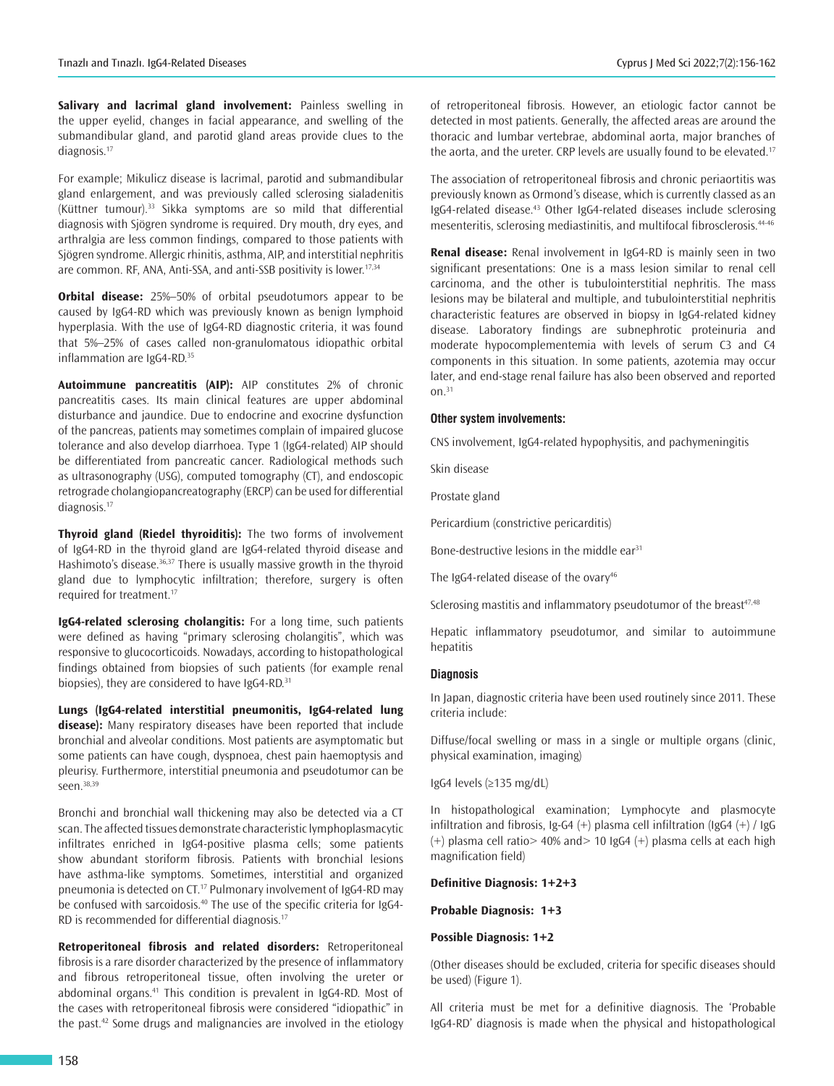**Salivary and lacrimal gland involvement:** Painless swelling in the upper eyelid, changes in facial appearance, and swelling of the submandibular gland, and parotid gland areas provide clues to the diagnosis.<sup>17</sup>

For example; Mikulicz disease is lacrimal, parotid and submandibular gland enlargement, and was previously called sclerosing sialadenitis (Küttner tumour).<sup>33</sup> Sikka symptoms are so mild that differential diagnosis with Sjögren syndrome is required. Dry mouth, dry eyes, and arthralgia are less common findings, compared to those patients with Sjögren syndrome. Allergic rhinitis, asthma, AIP, and interstitial nephritis are common. RF, ANA, Anti-SSA, and anti-SSB positivity is lower.<sup>17,34</sup>

**Orbital disease:** 25%–50% of orbital pseudotumors appear to be caused by IgG4-RD which was previously known as benign lymphoid hyperplasia. With the use of IgG4-RD diagnostic criteria, it was found that 5%–25% of cases called non-granulomatous idiopathic orbital inflammation are IgG4-RD.<sup>35</sup>

**Autoimmune pancreatitis (AIP):** AIP constitutes 2% of chronic pancreatitis cases. Its main clinical features are upper abdominal disturbance and jaundice. Due to endocrine and exocrine dysfunction of the pancreas, patients may sometimes complain of impaired glucose tolerance and also develop diarrhoea. Type 1 (IgG4-related) AIP should be differentiated from pancreatic cancer. Radiological methods such as ultrasonography (USG), computed tomography (CT), and endoscopic retrograde cholangiopancreatography (ERCP) can be used for differential diagnosis.<sup>17</sup>

**Thyroid gland (Riedel thyroiditis):** The two forms of involvement of IgG4-RD in the thyroid gland are IgG4-related thyroid disease and Hashimoto's disease.<sup>36,37</sup> There is usually massive growth in the thyroid gland due to lymphocytic infiltration; therefore, surgery is often required for treatment.<sup>17</sup>

**IgG4-related sclerosing cholangitis:** For a long time, such patients were defined as having "primary sclerosing cholangitis", which was responsive to glucocorticoids. Nowadays, according to histopathological findings obtained from biopsies of such patients (for example renal biopsies), they are considered to have  $IgG4-RD.<sup>31</sup>$ 

**Lungs (IgG4-related interstitial pneumonitis, IgG4-related lung**  disease): Many respiratory diseases have been reported that include bronchial and alveolar conditions. Most patients are asymptomatic but some patients can have cough, dyspnoea, chest pain haemoptysis and pleurisy. Furthermore, interstitial pneumonia and pseudotumor can be seen.<sup>38,39</sup>

Bronchi and bronchial wall thickening may also be detected via a CT scan. The affected tissues demonstrate characteristic lymphoplasmacytic infiltrates enriched in IgG4-positive plasma cells; some patients show abundant storiform fibrosis. Patients with bronchial lesions have asthma-like symptoms. Sometimes, interstitial and organized pneumonia is detected on CT.<sup>17</sup> Pulmonary involvement of IgG4-RD may be confused with sarcoidosis.<sup>40</sup> The use of the specific criteria for IgG4-RD is recommended for differential diagnosis.<sup>17</sup>

**Retroperitoneal fibrosis and related disorders:** Retroperitoneal fibrosis is a rare disorder characterized by the presence of inflammatory and fibrous retroperitoneal tissue, often involving the ureter or abdominal organs.<sup>41</sup> This condition is prevalent in IgG4-RD. Most of the cases with retroperitoneal fibrosis were considered "idiopathic" in the past.<sup>42</sup> Some drugs and malignancies are involved in the etiology

of retroperitoneal fibrosis. However, an etiologic factor cannot be detected in most patients. Generally, the affected areas are around the thoracic and lumbar vertebrae, abdominal aorta, major branches of the aorta, and the ureter. CRP levels are usually found to be elevated.<sup>17</sup>

The association of retroperitoneal fibrosis and chronic periaortitis was previously known as Ormond's disease, which is currently classed as an IgG4-related disease.<sup>43</sup> Other IgG4-related diseases include sclerosing mesenteritis, sclerosing mediastinitis, and multifocal fibrosclerosis.44-46

**Renal disease:** Renal involvement in IgG4-RD is mainly seen in two significant presentations: One is a mass lesion similar to renal cell carcinoma, and the other is tubulointerstitial nephritis. The mass lesions may be bilateral and multiple, and tubulointerstitial nephritis characteristic features are observed in biopsy in IgG4-related kidney disease. Laboratory findings are subnephrotic proteinuria and moderate hypocomplementemia with levels of serum C3 and C4 components in this situation. In some patients, azotemia may occur later, and end-stage renal failure has also been observed and reported  $0n^{31}$ 

#### **Other system involvements:**

CNS involvement, IgG4-related hypophysitis, and pachymeningitis

Skin disease

Prostate gland

Pericardium (constrictive pericarditis)

Bone-destructive lesions in the middle ear $31$ 

The IgG4-related disease of the ovary $46$ 

Sclerosing mastitis and inflammatory pseudotumor of the breast $47,48$ 

Hepatic inflammatory pseudotumor, and similar to autoimmune hepatitis

#### **Diagnosis**

In Japan, diagnostic criteria have been used routinely since 2011. These criteria include:

Diffuse/focal swelling or mass in a single or multiple organs (clinic, physical examination, imaging)

IgG4 levels (≥135 mg/dL)

In histopathological examination; Lymphocyte and plasmocyte infiltration and fibrosis, Ig-G4  $(+)$  plasma cell infiltration (IgG4  $(+)$  / IgG (+) plasma cell ratio> 40% and> 10 IgG4 (+) plasma cells at each high magnification field)

#### **Definitive Diagnosis: 1+2+3**

**Probable Diagnosis: 1+3**

#### **Possible Diagnosis: 1+2**

(Other diseases should be excluded, criteria for specific diseases should be used) (Figure 1).

All criteria must be met for a definitive diagnosis. The 'Probable IgG4-RD' diagnosis is made when the physical and histopathological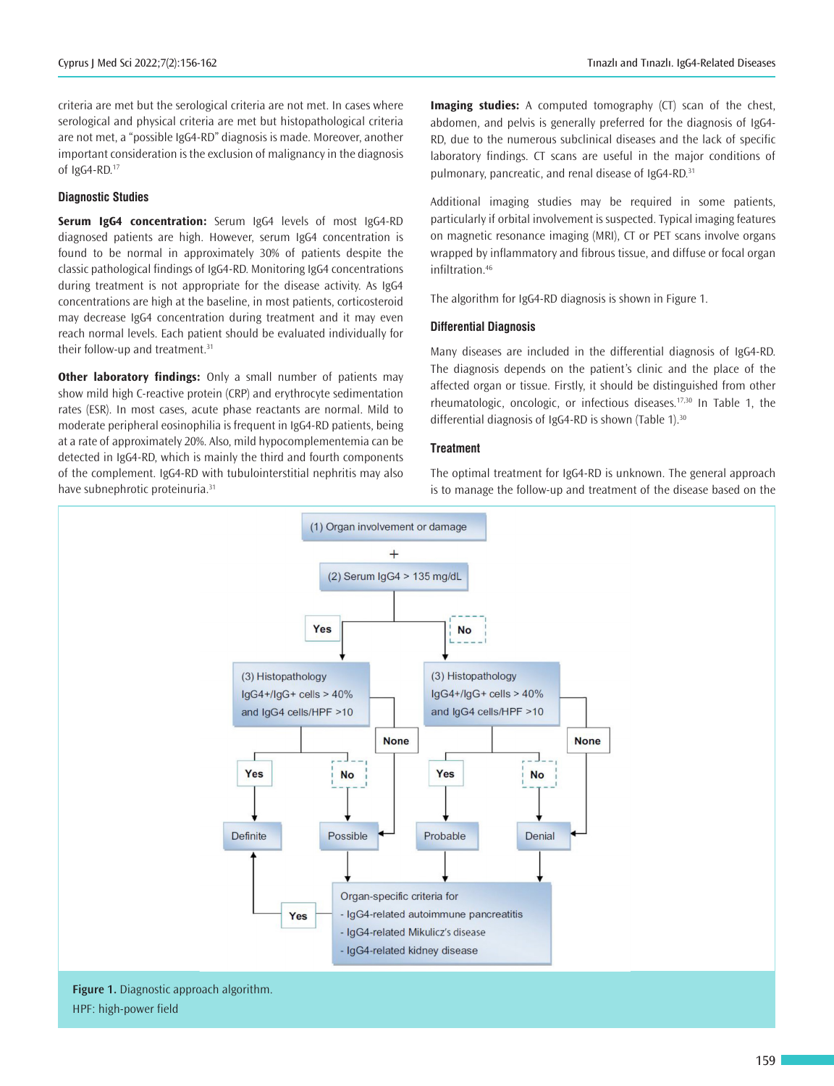criteria are met but the serological criteria are not met. In cases where serological and physical criteria are met but histopathological criteria are not met, a "possible IgG4-RD" diagnosis is made. Moreover, another important consideration is the exclusion of malignancy in the diagnosis of IgG4-RD.<sup>17</sup>

#### **Diagnostic Studies**

**Serum IgG4 concentration:** Serum IgG4 levels of most IgG4-RD diagnosed patients are high. However, serum IgG4 concentration is found to be normal in approximately 30% of patients despite the classic pathological findings of IgG4-RD. Monitoring IgG4 concentrations during treatment is not appropriate for the disease activity. As IgG4 concentrations are high at the baseline, in most patients, corticosteroid may decrease IgG4 concentration during treatment and it may even reach normal levels. Each patient should be evaluated individually for their follow-up and treatment.<sup>31</sup>

**Other laboratory findings:** Only a small number of patients may show mild high C-reactive protein (CRP) and erythrocyte sedimentation rates (ESR). In most cases, acute phase reactants are normal. Mild to moderate peripheral eosinophilia is frequent in IgG4-RD patients, being at a rate of approximately 20%. Also, mild hypocomplementemia can be detected in IgG4-RD, which is mainly the third and fourth components of the complement. IgG4-RD with tubulointerstitial nephritis may also have subnephrotic proteinuria.<sup>31</sup>

**Imaging studies:** A computed tomography (CT) scan of the chest, abdomen, and pelvis is generally preferred for the diagnosis of IgG4- RD, due to the numerous subclinical diseases and the lack of specific laboratory findings. CT scans are useful in the major conditions of pulmonary, pancreatic, and renal disease of IgG4-RD.<sup>31</sup>

Additional imaging studies may be required in some patients, particularly if orbital involvement is suspected. Typical imaging features on magnetic resonance imaging (MRI), CT or PET scans involve organs wrapped by inflammatory and fibrous tissue, and diffuse or focal organ infiltration.<sup>46</sup>

The algorithm for IgG4-RD diagnosis is shown in Figure 1.

#### **Differential Diagnosis**

Many diseases are included in the differential diagnosis of IgG4-RD. The diagnosis depends on the patient's clinic and the place of the affected organ or tissue. Firstly, it should be distinguished from other rheumatologic, oncologic, or infectious diseases.17,30 In Table 1, the differential diagnosis of IgG4-RD is shown (Table 1).<sup>30</sup>

#### **Treatment**

The optimal treatment for IgG4-RD is unknown. The general approach is to manage the follow-up and treatment of the disease based on the



**Figure 1.** Diagnostic approach algorithm. HPF: high-power field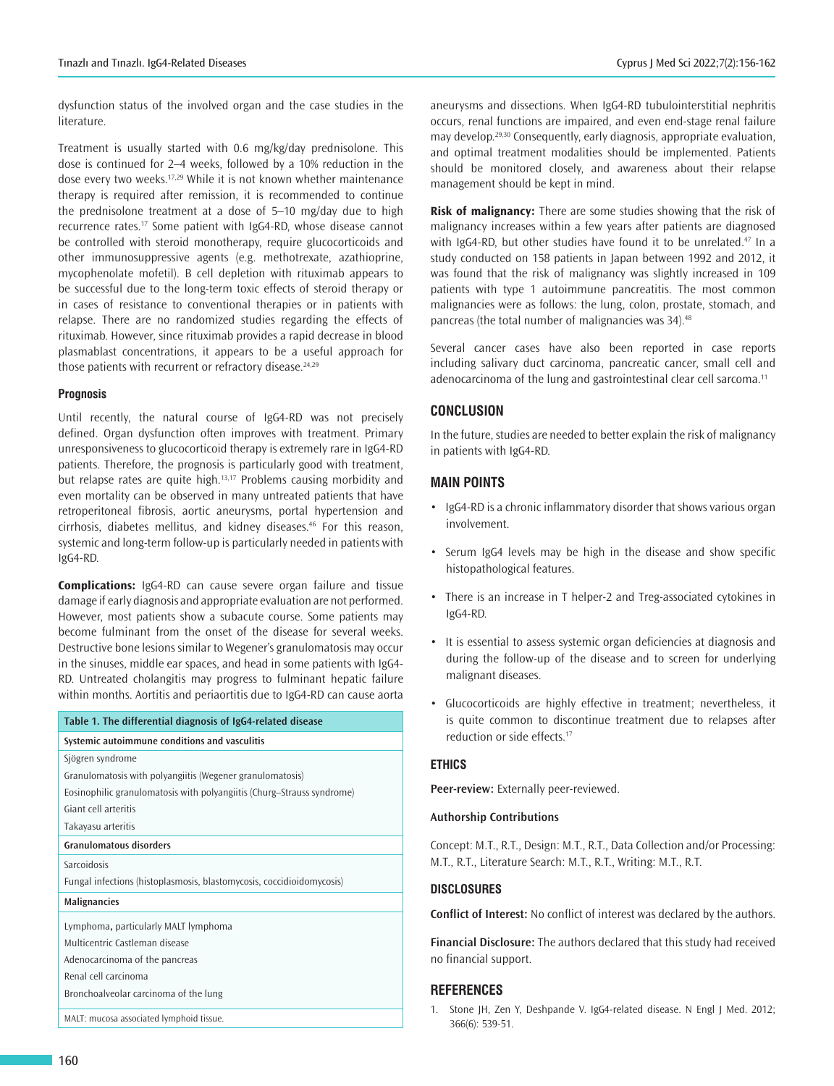dysfunction status of the involved organ and the case studies in the literature.

Treatment is usually started with 0.6 mg/kg/day prednisolone. This dose is continued for 2–4 weeks, followed by a 10% reduction in the dose every two weeks.17,29 While it is not known whether maintenance therapy is required after remission, it is recommended to continue the prednisolone treatment at a dose of 5–10 mg/day due to high recurrence rates.<sup>17</sup> Some patient with IgG4-RD, whose disease cannot be controlled with steroid monotherapy, require glucocorticoids and other immunosuppressive agents (e.g. methotrexate, azathioprine, mycophenolate mofetil). B cell depletion with rituximab appears to be successful due to the long-term toxic effects of steroid therapy or in cases of resistance to conventional therapies or in patients with relapse. There are no randomized studies regarding the effects of rituximab. However, since rituximab provides a rapid decrease in blood plasmablast concentrations, it appears to be a useful approach for those patients with recurrent or refractory disease. $24,29$ 

### **Prognosis**

Until recently, the natural course of IgG4-RD was not precisely defined. Organ dysfunction often improves with treatment. Primary unresponsiveness to glucocorticoid therapy is extremely rare in IgG4-RD patients. Therefore, the prognosis is particularly good with treatment, but relapse rates are quite high.<sup>13,17</sup> Problems causing morbidity and even mortality can be observed in many untreated patients that have retroperitoneal fibrosis, aortic aneurysms, portal hypertension and cirrhosis, diabetes mellitus, and kidney diseases.<sup>46</sup> For this reason, systemic and long-term follow-up is particularly needed in patients with IgG4-RD.

**Complications:** IgG4-RD can cause severe organ failure and tissue damage if early diagnosis and appropriate evaluation are not performed. However, most patients show a subacute course. Some patients may become fulminant from the onset of the disease for several weeks. Destructive bone lesions similar to Wegener's granulomatosis may occur in the sinuses, middle ear spaces, and head in some patients with IgG4- RD. Untreated cholangitis may progress to fulminant hepatic failure within months. Aortitis and periaortitis due to IgG4-RD can cause aorta

| Table 1. The differential diagnosis of IgG4-related disease            |
|------------------------------------------------------------------------|
| Systemic autoimmune conditions and vasculitis                          |
| Sjögren syndrome                                                       |
| Granulomatosis with polyangiitis (Wegener granulomatosis)              |
| Eosinophilic granulomatosis with polyangiitis (Churg-Strauss syndrome) |
| Giant cell arteritis                                                   |
| Takayasu arteritis                                                     |
| <b>Granulomatous disorders</b>                                         |
| Sarcoidosis                                                            |
| Fungal infections (histoplasmosis, blastomycosis, coccidioidomycosis)  |
| <b>Malignancies</b>                                                    |
| Lymphoma, particularly MALT lymphoma                                   |
| Multicentric Castleman disease                                         |
| Adenocarcinoma of the pancreas                                         |
| Renal cell carcinoma                                                   |
| Bronchoalveolar carcinoma of the lung                                  |
| MALT: mucosa associated lymphoid tissue.                               |

aneurysms and dissections. When IgG4-RD tubulointerstitial nephritis occurs, renal functions are impaired, and even end-stage renal failure may develop.29,30 Consequently, early diagnosis, appropriate evaluation, and optimal treatment modalities should be implemented. Patients should be monitored closely, and awareness about their relapse management should be kept in mind.

**Risk of malignancy:** There are some studies showing that the risk of malignancy increases within a few years after patients are diagnosed with IgG4-RD, but other studies have found it to be unrelated.<sup>47</sup> In a study conducted on 158 patients in Japan between 1992 and 2012, it was found that the risk of malignancy was slightly increased in 109 patients with type 1 autoimmune pancreatitis. The most common malignancies were as follows: the lung, colon, prostate, stomach, and pancreas (the total number of malignancies was 34).<sup>48</sup>

Several cancer cases have also been reported in case reports including salivary duct carcinoma, pancreatic cancer, small cell and adenocarcinoma of the lung and gastrointestinal clear cell sarcoma.<sup>11</sup>

# **CONCLUSION**

In the future, studies are needed to better explain the risk of malignancy in patients with IgG4-RD.

# **MAIN POINTS**

- IgG4-RD is a chronic inflammatory disorder that shows various organ involvement.
- Serum IgG4 levels may be high in the disease and show specific histopathological features.
- There is an increase in T helper-2 and Treg-associated cytokines in IgG4-RD.
- It is essential to assess systemic organ deficiencies at diagnosis and during the follow-up of the disease and to screen for underlying malignant diseases.
- Glucocorticoids are highly effective in treatment; nevertheless, it is quite common to discontinue treatment due to relapses after reduction or side effects.<sup>17</sup>

## **ETHICS**

**Peer-review:** Externally peer-reviewed.

#### **Authorship Contributions**

Concept: M.T., R.T., Design: M.T., R.T., Data Collection and/or Processing: M.T., R.T., Literature Search: M.T., R.T., Writing: M.T., R.T.

## **DISCLOSURES**

**Conflict of Interest:** No conflict of interest was declared by the authors.

**Financial Disclosure:** The authors declared that this study had received no financial support.

## **REFERENCES**

1. Stone JH, Zen Y, Deshpande V. IgG4-related disease. N Engl J Med. 2012; 366(6): 539-51.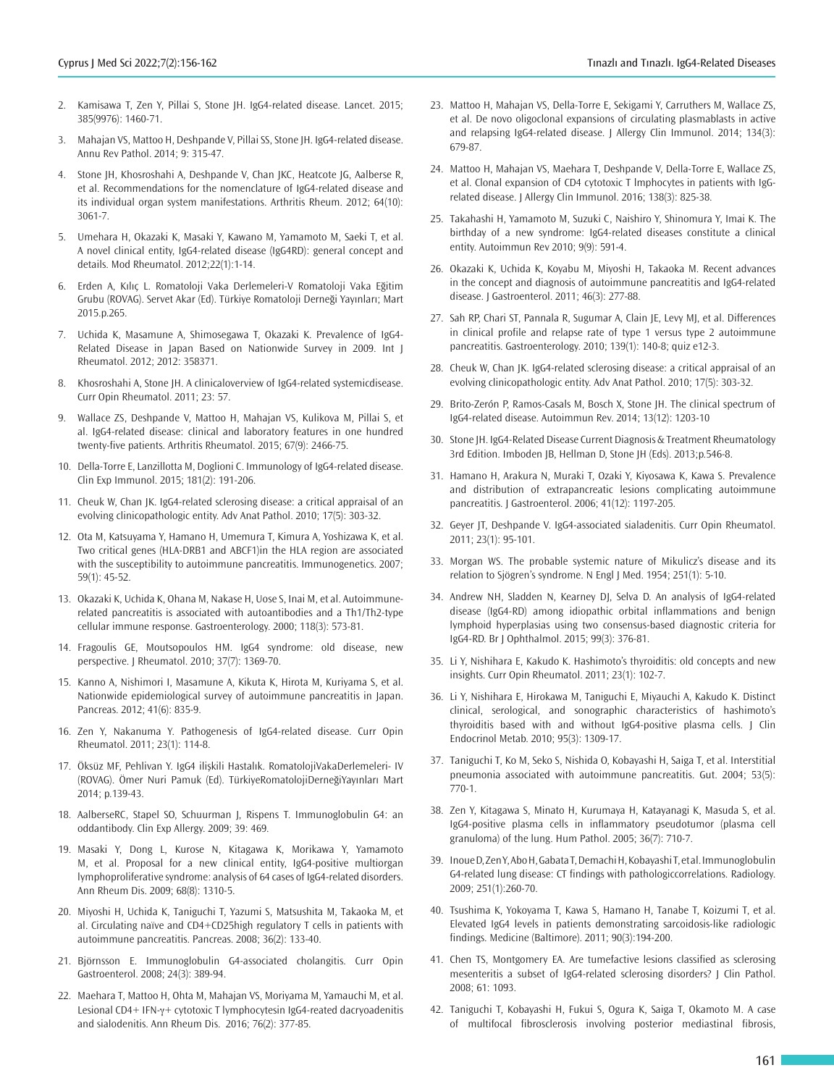- 2. Kamisawa T, Zen Y, Pillai S, Stone JH. IgG4-related disease. Lancet. 2015; 385(9976): 1460-71.
- 3. Mahajan VS, Mattoo H, Deshpande V, Pillai SS, Stone JH. IgG4-related disease. Annu Rev Pathol. 2014; 9: 315-47.
- 4. Stone JH, Khosroshahi A, Deshpande V, Chan JKC, Heatcote JG, Aalberse R, et al. Recommendations for the nomenclature of IgG4-related disease and its individual organ system manifestations. Arthritis Rheum. 2012; 64(10): 3061-7.
- 5. Umehara H, Okazaki K, Masaki Y, Kawano M, Yamamoto M, Saeki T, et al. A novel clinical entity, IgG4-related disease (IgG4RD): general concept and details. Mod Rheumatol. 2012;22(1):1-14.
- 6. Erden A, Kılıç L. Romatoloji Vaka Derlemeleri-V Romatoloji Vaka Eğitim Grubu (ROVAG). Servet Akar (Ed). Türkiye Romatoloji Derneği Yayınları; Mart 2015.p.265.
- 7. Uchida K, Masamune A, Shimosegawa T, Okazaki K. Prevalence of IgG4- Related Disease in Japan Based on Nationwide Survey in 2009. Int J Rheumatol. 2012; 2012: 358371.
- 8. Khosroshahi A, Stone JH. A clinicaloverview of IgG4-related systemicdisease. Curr Opin Rheumatol. 2011; 23: 57.
- 9. Wallace ZS, Deshpande V, Mattoo H, Mahajan VS, Kulikova M, Pillai S, et al. IgG4-related disease: clinical and laboratory features in one hundred twenty-five patients. Arthritis Rheumatol. 2015; 67(9): 2466-75.
- 10. Della-Torre E, Lanzillotta M, Doglioni C. Immunology of IgG4-related disease. Clin Exp Immunol. 2015; 181(2): 191-206.
- 11. Cheuk W, Chan JK. IgG4-related sclerosing disease: a critical appraisal of an evolving clinicopathologic entity. Adv Anat Pathol. 2010; 17(5): 303-32.
- 12. Ota M, Katsuyama Y, Hamano H, Umemura T, Kimura A, Yoshizawa K, et al. Two critical genes (HLA-DRB1 and ABCF1)in the HLA region are associated with the susceptibility to autoimmune pancreatitis. Immunogenetics. 2007; 59(1): 45-52.
- 13. Okazaki K, Uchida K, Ohana M, Nakase H, Uose S, Inai M, et al. Autoimmunerelated pancreatitis is associated with autoantibodies and a Th1/Th2-type cellular immune response. Gastroenterology. 2000; 118(3): 573-81.
- 14. Fragoulis GE, Moutsopoulos HM. IgG4 syndrome: old disease, new perspective. J Rheumatol. 2010; 37(7): 1369-70.
- 15. Kanno A, Nishimori I, Masamune A, Kikuta K, Hirota M, Kuriyama S, et al. Nationwide epidemiological survey of autoimmune pancreatitis in Japan. Pancreas. 2012; 41(6): 835-9.
- 16. Zen Y, Nakanuma Y. Pathogenesis of IgG4-related disease. Curr Opin Rheumatol. 2011; 23(1): 114-8.
- 17. Öksüz MF, Pehlivan Y. IgG4 ilişkili Hastalık. RomatolojiVakaDerlemeleri- IV (ROVAG). Ömer Nuri Pamuk (Ed). TürkiyeRomatolojiDerneğiYayınları Mart 2014; p.139-43.
- 18. AalberseRC, Stapel SO, Schuurman J, Rispens T. Immunoglobulin G4: an oddantibody. Clin Exp Allergy. 2009; 39: 469.
- 19. Masaki Y, Dong L, Kurose N, Kitagawa K, Morikawa Y, Yamamoto M, et al. Proposal for a new clinical entity, IgG4-positive multiorgan lymphoproliferative syndrome: analysis of 64 cases of IgG4-related disorders. Ann Rheum Dis. 2009; 68(8): 1310-5.
- 20. Miyoshi H, Uchida K, Taniguchi T, Yazumi S, Matsushita M, Takaoka M, et al. Circulating naïve and CD4+CD25high regulatory T cells in patients with autoimmune pancreatitis. Pancreas. 2008; 36(2): 133-40.
- 21. Björnsson E. Immunoglobulin G4-associated cholangitis. Curr Opin Gastroenterol. 2008; 24(3): 389-94.
- 22. Maehara T, Mattoo H, Ohta M, Mahajan VS, Moriyama M, Yamauchi M, et al. Lesional CD4+ IFN-γ+ cytotoxic T lymphocytesin IgG4-reated dacryoadenitis and sialodenitis. Ann Rheum Dis. 2016; 76(2): 377-85.
- 23. Mattoo H, Mahajan VS, Della-Torre E, Sekigami Y, Carruthers M, Wallace ZS, et al. De novo oligoclonal expansions of circulating plasmablasts in active and relapsing IgG4-related disease. J Allergy Clin Immunol. 2014; 134(3): 679-87.
- 24. Mattoo H, Mahajan VS, Maehara T, Deshpande V, Della-Torre E, Wallace ZS, et al. Clonal expansion of CD4 cytotoxic T lmphocytes in patients with IgGrelated disease. J Allergy Clin Immunol. 2016; 138(3): 825-38.
- 25. Takahashi H, Yamamoto M, Suzuki C, Naishiro Y, Shinomura Y, Imai K. The birthday of a new syndrome: IgG4-related diseases constitute a clinical entity. Autoimmun Rev 2010; 9(9): 591-4.
- 26. Okazaki K, Uchida K, Koyabu M, Miyoshi H, Takaoka M. Recent advances in the concept and diagnosis of autoimmune pancreatitis and IgG4-related disease. J Gastroenterol. 2011; 46(3): 277-88.
- 27. Sah RP, Chari ST, Pannala R, Sugumar A, Clain JE, Levy MJ, et al. Differences in clinical profile and relapse rate of type 1 versus type 2 autoimmune pancreatitis. Gastroenterology. 2010; 139(1): 140-8; quiz e12-3.
- 28. Cheuk W, Chan JK. IgG4-related sclerosing disease: a critical appraisal of an evolving clinicopathologic entity. Adv Anat Pathol. 2010; 17(5): 303-32.
- 29. Brito-Zerón P, Ramos-Casals M, Bosch X, Stone JH. The clinical spectrum of IgG4-related disease. Autoimmun Rev. 2014; 13(12): 1203-10
- 30. Stone JH. IgG4-Related Disease Current Diagnosis & Treatment Rheumatology 3rd Edition. Imboden JB, Hellman D, Stone JH (Eds). 2013;p.546-8.
- 31. Hamano H, Arakura N, Muraki T, Ozaki Y, Kiyosawa K, Kawa S. Prevalence and distribution of extrapancreatic lesions complicating autoimmune pancreatitis. J Gastroenterol. 2006; 41(12): 1197-205.
- 32. Geyer JT, Deshpande V. IgG4-associated sialadenitis. Curr Opin Rheumatol. 2011; 23(1): 95-101.
- 33. Morgan WS. The probable systemic nature of Mikulicz's disease and its relation to Sjögren's syndrome. N Engl J Med. 1954; 251(1): 5-10.
- 34. Andrew NH, Sladden N, Kearney DJ, Selva D. An analysis of IgG4-related disease (IgG4-RD) among idiopathic orbital inflammations and benign lymphoid hyperplasias using two consensus-based diagnostic criteria for IgG4-RD. Br J Ophthalmol. 2015; 99(3): 376-81.
- 35. Li Y, Nishihara E, Kakudo K. Hashimoto's thyroiditis: old concepts and new insights. Curr Opin Rheumatol. 2011; 23(1): 102-7.
- 36. Li Y, Nishihara E, Hirokawa M, Taniguchi E, Miyauchi A, Kakudo K. Distinct clinical, serological, and sonographic characteristics of hashimoto's thyroiditis based with and without IgG4-positive plasma cells. J Clin Endocrinol Metab. 2010; 95(3): 1309-17.
- 37. Taniguchi T, Ko M, Seko S, Nishida O, Kobayashi H, Saiga T, et al. Interstitial pneumonia associated with autoimmune pancreatitis. Gut. 2004; 53(5): 770-1.
- 38. Zen Y, Kitagawa S, Minato H, Kurumaya H, Katayanagi K, Masuda S, et al. IgG4-positive plasma cells in inflammatory pseudotumor (plasma cell granuloma) of the lung. Hum Pathol. 2005; 36(7): 710-7.
- 39. Inoue D, Zen Y, Abo H, Gabata T, Demachi H, Kobayashi T, et al. Immunoglobulin G4-related lung disease: CT findings with pathologiccorrelations. Radiology. 2009; 251(1):260-70.
- 40. Tsushima K, Yokoyama T, Kawa S, Hamano H, Tanabe T, Koizumi T, et al. Elevated IgG4 levels in patients demonstrating sarcoidosis-like radiologic findings. Medicine (Baltimore). 2011; 90(3):194-200.
- 41. Chen TS, Montgomery EA. Are tumefactive lesions classified as sclerosing mesenteritis a subset of IgG4-related sclerosing disorders? J Clin Pathol. 2008; 61: 1093.
- 42. Taniguchi T, Kobayashi H, Fukui S, Ogura K, Saiga T, Okamoto M. A case of multifocal fibrosclerosis involving posterior mediastinal fibrosis,